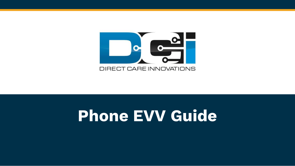

### **Phone EVV Guide**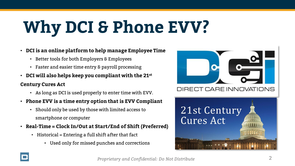## **Why DCI & Phone EVV?**

- **DCI is an online platform to help manage Employee Time**
	- Better tools for both Employers & Employees
	- Faster and easier time entry & payroll processing
- **DCI will also helps keep you compliant with the 21st Century Cures Act**
	- As long as DCI is used properly to enter time with EVV.
- **Phone EVV is a time entry option that is EVV Compliant**
	- Should only be used by those with limited access to smartphone or computer
- **Real-Time = Clock In/Out at Start/End of Shift (Preferred)**
	- Historical = Entering a full shift after that fact
		- Used only for missed punches and corrections



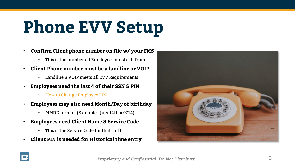## **Phone EVV Setup**

- **Confirm Client phone number on file w/ your FMS**
	- This is the number all Employees must call from
- **Client Phone number must be a landline or VOIP**
	- Landline & VOIP meets all EVV Requirements
- **Employees need the last 4 of their SSN & PIN**
	- [How to Change Employee PIN](#page-10-0)
- **Employees may also need Month/Day of birthday**
	- MMDD format. (Example July 14th =  $0714$ )
- **Employees need Client Name & Service Code**
	- This is the Service Code for that shift
- **Client PIN is needed for Historical time entry**



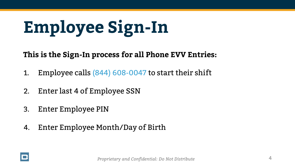## <span id="page-3-0"></span>**Employee Sign-In**

**This is the Sign-In process for all Phone EVV Entries:**

- 1. Employee calls (844) 608-0047 to start their shift
- 2. Enter last 4 of Employee SSN
- 3. Enter Employee PIN
- 4. Enter Employee Month/Day of Birth

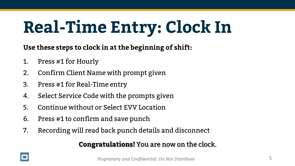## **Real-Time Entry: Clock In**

**Use these steps to clock in at the beginning of shift:**

- 1. Press #1 for Hourly
- 2. Confirm Client Name with prompt given
- 3. Press #1 for Real-Time entry
- 4. Select Service Code with the prompts given
- 5. Continue without or Select EVV Location
- 6. Press #1 to confirm and save punch
- 7. Recording will read back punch details and disconnect

#### **Congratulations!** You are now on the clock.

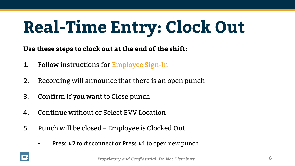## **Real-Time Entry: Clock Out**

**Use these steps to clock out at the end of the shift:**

- 1. Follow instructions for [Employee Sign-In](#page-3-0)
- 2. Recording will announce that there is an open punch
- 3. Confirm if you want to Close punch
- 4. Continue without or Select EVV Location
- 5. Punch will be closed Employee is Clocked Out
	- Press #2 to disconnect or Press #1 to open new punch

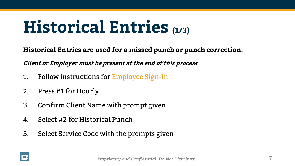### **Historical Entries (1/3)**

**Historical Entries are used for a missed punch or punch correction.** 

**Client or Employer must be present at the end of this process***.*

- 1. Follow instructions for **[Employee Sign-In](#page-3-0)**
- 2. Press #1 for Hourly
- 3. Confirm Client Name with prompt given
- 4. Select #2 for Historical Punch
- 5. Select Service Code with the prompts given

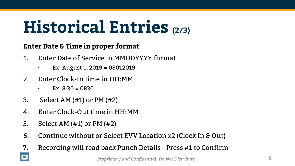## **Historical Entries (2/3)**

#### **Enter Date & Time in proper format**

- 1. Enter Date of Service in MMDDYYYY format
	- Ex: August 1, 2019 = 08012019
- 2. Enter Clock-In time in HH:MM
	- Ex:  $8:30 = 0830$
- 3. Select AM (#1) or PM (#2)
- 4. Enter Clock-Out time in HH:MM
- 5. Select AM (#1) or PM (#2)

 $\Box$ 

- 6. Continue without or Select EVV Location x2 (Clock In & Out)
- 7. Recording will read back Punch Details Press #1 to Confirm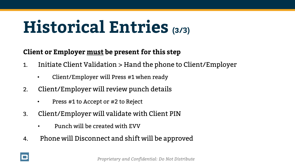### **Historical Entries (3/3)**

#### **Client or Employer must be present for this step**

- 1. Initiate Client Validation > Hand the phone to Client/Employer
	- Client/Employer will Press #1 when ready
- 2. Client/Employer will review punch details
	- Press #1 to Accept or #2 to Reject
- 3. Client/Employer will validate with Client PIN
	- Punch will be created with EVV
- 4. Phone will Disconnect and shift will be approved

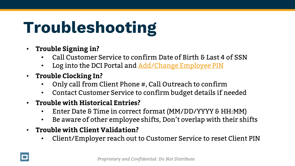## **Troubleshooting**

- **Trouble Signing in?**
	- Call Customer Service to confirm Date of Birth & Last 4 of SSN
	- Log into the DCI Portal and [Add/Change Employee PIN](#page-10-0)
- **Trouble Clocking In?**
	- Only call from Client Phone #, Call Outreach to confirm
	- Contact Customer Service to confirm budget details if needed
- **Trouble with Historical Entries?**
	- Enter Date & Time in correct format (MM/DD/YYYY & HH:MM)
	- Be aware of other employee shifts, Don't overlap with their shifts
- **Trouble with Client Validation?**
	- Client/Employer reach out to Customer Service to reset Client PIN

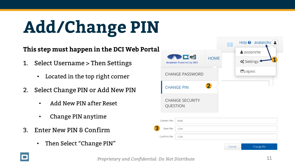## <span id="page-10-0"></span>**Add/Change PIN**

#### **This step must happen in the DCI Web Portal**

- 1. Select Username > Then Settings
	- Located in the top right corner
- 2. Select Change PIN or Add New PIN
	- Add New PIN after Reset
	- Change PIN anytime
- 3. Enter New PIN & Confirm
	- Then Select "Change PIN"

|                                              |                                           |             |        |                                | Help $\odot$ avalanche $\ddot{\bullet}$ |
|----------------------------------------------|-------------------------------------------|-------------|--------|--------------------------------|-----------------------------------------|
| <b>ADEE</b><br><b>Acumen Powered by DCI</b>  |                                           |             |        | avalanche                      |                                         |
|                                              |                                           | <b>HOME</b> |        | <b>Q</b> <sup>8</sup> Settings | 1                                       |
| <b>CHANGE PASSWORD</b>                       |                                           |             |        | CLogout                        |                                         |
| $\overline{\mathbf{2}}$<br><b>CHANGE PIN</b> |                                           |             |        |                                |                                         |
|                                              | <b>CHANGE SECURITY</b><br><b>QUESTION</b> |             |        |                                |                                         |
| <b>Current Pin:</b>                          | 0000                                      |             |        |                                |                                         |
|                                              |                                           |             |        |                                |                                         |
| New Pin:                                     | 1234                                      |             |        |                                |                                         |
| Confirm Pin:                                 | 1234                                      |             |        |                                |                                         |
|                                              |                                           |             | Cancel |                                | Change Pin                              |



**3**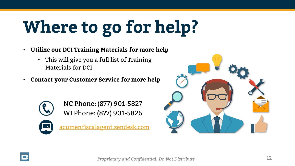# **Where to go for help?**

- **Utilize our DCI Training Materials for more help**
	- This will give you a full list of Training Materials for DCI
- **Contact your Customer Service for more help**



NC Phone: (877) 901-5827 WI Phone: (877) 901-5826

[acumenfiscalagent.zendesk.com](https://acumenfiscalagent.zendesk.com/hc/en-us)